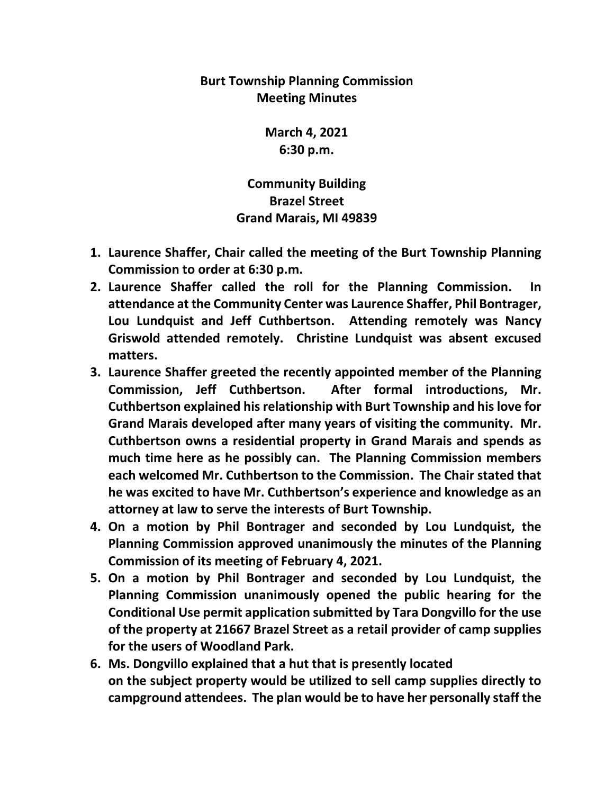## **Burt Township Planning Commission Meeting Minutes**

**March 4, 2021 6:30 p.m.**

**Community Building Brazel Street Grand Marais, MI 49839**

- **1. Laurence Shaffer, Chair called the meeting of the Burt Township Planning Commission to order at 6:30 p.m.**
- **2. Laurence Shaffer called the roll for the Planning Commission. In attendance at the Community Center was Laurence Shaffer, Phil Bontrager, Lou Lundquist and Jeff Cuthbertson. Attending remotely was Nancy Griswold attended remotely. Christine Lundquist was absent excused matters.**
- **3. Laurence Shaffer greeted the recently appointed member of the Planning Commission, Jeff Cuthbertson. After formal introductions, Mr. Cuthbertson explained his relationship with Burt Township and his love for Grand Marais developed after many years of visiting the community. Mr. Cuthbertson owns a residential property in Grand Marais and spends as much time here as he possibly can. The Planning Commission members each welcomed Mr. Cuthbertson to the Commission. The Chair stated that he was excited to have Mr. Cuthbertson's experience and knowledge as an attorney at law to serve the interests of Burt Township.**
- **4. On a motion by Phil Bontrager and seconded by Lou Lundquist, the Planning Commission approved unanimously the minutes of the Planning Commission of its meeting of February 4, 2021.**
- **5. On a motion by Phil Bontrager and seconded by Lou Lundquist, the Planning Commission unanimously opened the public hearing for the Conditional Use permit application submitted by Tara Dongvillo for the use of the property at 21667 Brazel Street as a retail provider of camp supplies for the users of Woodland Park.**
- **6. Ms. Dongvillo explained that a hut that is presently located on the subject property would be utilized to sell camp supplies directly to campground attendees. The plan would be to have her personally staff the**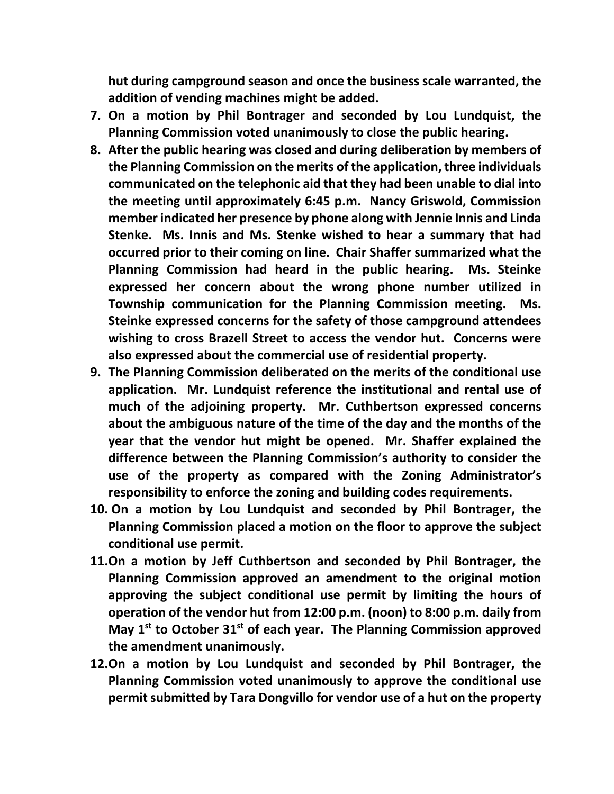**hut during campground season and once the business scale warranted, the addition of vending machines might be added.** 

- **7. On a motion by Phil Bontrager and seconded by Lou Lundquist, the Planning Commission voted unanimously to close the public hearing.**
- **8. After the public hearing was closed and during deliberation by members of the Planning Commission on the merits of the application, three individuals communicated on the telephonic aid that they had been unable to dial into the meeting until approximately 6:45 p.m. Nancy Griswold, Commission member indicated her presence by phone along with Jennie Innis and Linda Stenke. Ms. Innis and Ms. Stenke wished to hear a summary that had occurred prior to their coming on line. Chair Shaffer summarized what the Planning Commission had heard in the public hearing. Ms. Steinke expressed her concern about the wrong phone number utilized in Township communication for the Planning Commission meeting. Ms. Steinke expressed concerns for the safety of those campground attendees wishing to cross Brazell Street to access the vendor hut. Concerns were also expressed about the commercial use of residential property.**
- **9. The Planning Commission deliberated on the merits of the conditional use application. Mr. Lundquist reference the institutional and rental use of much of the adjoining property. Mr. Cuthbertson expressed concerns about the ambiguous nature of the time of the day and the months of the year that the vendor hut might be opened. Mr. Shaffer explained the difference between the Planning Commission's authority to consider the use of the property as compared with the Zoning Administrator's responsibility to enforce the zoning and building codes requirements.**
- **10. On a motion by Lou Lundquist and seconded by Phil Bontrager, the Planning Commission placed a motion on the floor to approve the subject conditional use permit.**
- **11.On a motion by Jeff Cuthbertson and seconded by Phil Bontrager, the Planning Commission approved an amendment to the original motion approving the subject conditional use permit by limiting the hours of operation of the vendor hut from 12:00 p.m. (noon) to 8:00 p.m. daily from May 1st to October 31st of each year. The Planning Commission approved the amendment unanimously.**
- **12.On a motion by Lou Lundquist and seconded by Phil Bontrager, the Planning Commission voted unanimously to approve the conditional use permit submitted by Tara Dongvillo for vendor use of a hut on the property**